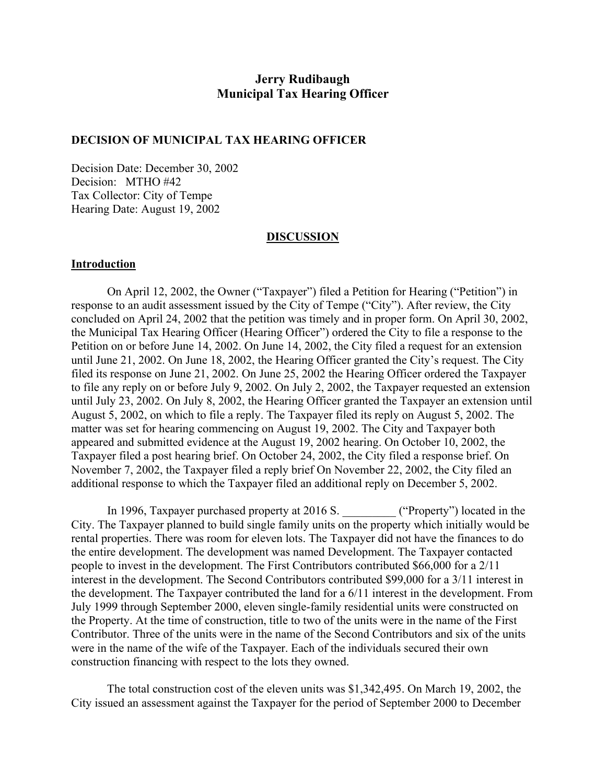# **Jerry Rudibaugh Municipal Tax Hearing Officer**

### **DECISION OF MUNICIPAL TAX HEARING OFFICER**

Decision Date: December 30, 2002 Decision: MTHO #42 Tax Collector: City of Tempe Hearing Date: August 19, 2002

#### **DISCUSSION**

### **Introduction**

On April 12, 2002, the Owner ("Taxpayer") filed a Petition for Hearing ("Petition") in response to an audit assessment issued by the City of Tempe ("City"). After review, the City concluded on April 24, 2002 that the petition was timely and in proper form. On April 30, 2002, the Municipal Tax Hearing Officer (Hearing Officer") ordered the City to file a response to the Petition on or before June 14, 2002. On June 14, 2002, the City filed a request for an extension until June 21, 2002. On June 18, 2002, the Hearing Officer granted the City's request. The City filed its response on June 21, 2002. On June 25, 2002 the Hearing Officer ordered the Taxpayer to file any reply on or before July 9, 2002. On July 2, 2002, the Taxpayer requested an extension until July 23, 2002. On July 8, 2002, the Hearing Officer granted the Taxpayer an extension until August 5, 2002, on which to file a reply. The Taxpayer filed its reply on August 5, 2002. The matter was set for hearing commencing on August 19, 2002. The City and Taxpayer both appeared and submitted evidence at the August 19, 2002 hearing. On October 10, 2002, the Taxpayer filed a post hearing brief. On October 24, 2002, the City filed a response brief. On November 7, 2002, the Taxpayer filed a reply brief On November 22, 2002, the City filed an additional response to which the Taxpayer filed an additional reply on December 5, 2002.

In 1996, Taxpayer purchased property at 2016 S. \_\_\_\_\_\_\_\_\_ ("Property") located in the City. The Taxpayer planned to build single family units on the property which initially would be rental properties. There was room for eleven lots. The Taxpayer did not have the finances to do the entire development. The development was named Development. The Taxpayer contacted people to invest in the development. The First Contributors contributed \$66,000 for a 2/11 interest in the development. The Second Contributors contributed \$99,000 for a 3/11 interest in the development. The Taxpayer contributed the land for a 6/11 interest in the development. From July 1999 through September 2000, eleven single-family residential units were constructed on the Property. At the time of construction, title to two of the units were in the name of the First Contributor. Three of the units were in the name of the Second Contributors and six of the units were in the name of the wife of the Taxpayer. Each of the individuals secured their own construction financing with respect to the lots they owned.

The total construction cost of the eleven units was \$1,342,495. On March 19, 2002, the City issued an assessment against the Taxpayer for the period of September 2000 to December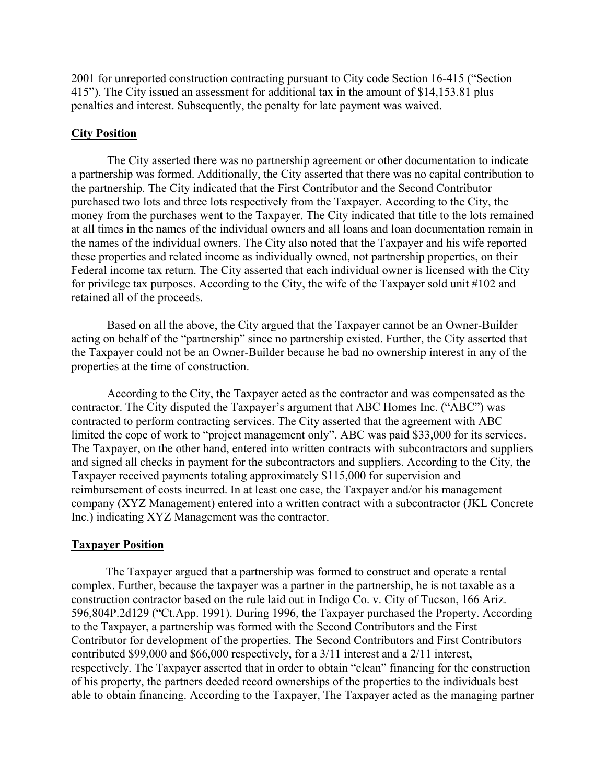2001 for unreported construction contracting pursuant to City code Section 16-415 ("Section 415"). The City issued an assessment for additional tax in the amount of \$14,153.81 plus penalties and interest. Subsequently, the penalty for late payment was waived.

### **City Position**

The City asserted there was no partnership agreement or other documentation to indicate a partnership was formed. Additionally, the City asserted that there was no capital contribution to the partnership. The City indicated that the First Contributor and the Second Contributor purchased two lots and three lots respectively from the Taxpayer. According to the City, the money from the purchases went to the Taxpayer. The City indicated that title to the lots remained at all times in the names of the individual owners and all loans and loan documentation remain in the names of the individual owners. The City also noted that the Taxpayer and his wife reported these properties and related income as individually owned, not partnership properties, on their Federal income tax return. The City asserted that each individual owner is licensed with the City for privilege tax purposes. According to the City, the wife of the Taxpayer sold unit #102 and retained all of the proceeds.

Based on all the above, the City argued that the Taxpayer cannot be an Owner-Builder acting on behalf of the "partnership" since no partnership existed. Further, the City asserted that the Taxpayer could not be an Owner-Builder because he bad no ownership interest in any of the properties at the time of construction.

According to the City, the Taxpayer acted as the contractor and was compensated as the contractor. The City disputed the Taxpayer's argument that ABC Homes Inc. ("ABC") was contracted to perform contracting services. The City asserted that the agreement with ABC limited the cope of work to "project management only". ABC was paid \$33,000 for its services. The Taxpayer, on the other hand, entered into written contracts with subcontractors and suppliers and signed all checks in payment for the subcontractors and suppliers. According to the City, the Taxpayer received payments totaling approximately \$115,000 for supervision and reimbursement of costs incurred. In at least one case, the Taxpayer and/or his management company (XYZ Management) entered into a written contract with a subcontractor (JKL Concrete Inc.) indicating XYZ Management was the contractor.

### **Taxpayer Position**

The Taxpayer argued that a partnership was formed to construct and operate a rental complex. Further, because the taxpayer was a partner in the partnership, he is not taxable as a construction contractor based on the rule laid out in Indigo Co. v. City of Tucson, 166 Ariz. 596,804P.2d129 ("Ct.App. 1991). During 1996, the Taxpayer purchased the Property. According to the Taxpayer, a partnership was formed with the Second Contributors and the First Contributor for development of the properties. The Second Contributors and First Contributors contributed \$99,000 and \$66,000 respectively, for a 3/11 interest and a 2/11 interest, respectively. The Taxpayer asserted that in order to obtain "clean" financing for the construction of his property, the partners deeded record ownerships of the properties to the individuals best able to obtain financing. According to the Taxpayer, The Taxpayer acted as the managing partner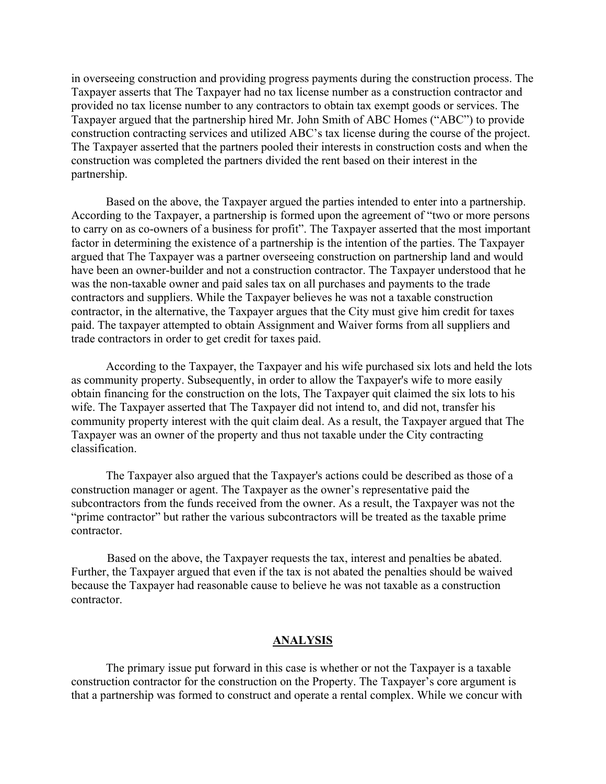in overseeing construction and providing progress payments during the construction process. The Taxpayer asserts that The Taxpayer had no tax license number as a construction contractor and provided no tax license number to any contractors to obtain tax exempt goods or services. The Taxpayer argued that the partnership hired Mr. John Smith of ABC Homes ("ABC") to provide construction contracting services and utilized ABC's tax license during the course of the project. The Taxpayer asserted that the partners pooled their interests in construction costs and when the construction was completed the partners divided the rent based on their interest in the partnership.

Based on the above, the Taxpayer argued the parties intended to enter into a partnership. According to the Taxpayer, a partnership is formed upon the agreement of "two or more persons to carry on as co-owners of a business for profit". The Taxpayer asserted that the most important factor in determining the existence of a partnership is the intention of the parties. The Taxpayer argued that The Taxpayer was a partner overseeing construction on partnership land and would have been an owner-builder and not a construction contractor. The Taxpayer understood that he was the non-taxable owner and paid sales tax on all purchases and payments to the trade contractors and suppliers. While the Taxpayer believes he was not a taxable construction contractor, in the alternative, the Taxpayer argues that the City must give him credit for taxes paid. The taxpayer attempted to obtain Assignment and Waiver forms from all suppliers and trade contractors in order to get credit for taxes paid.

According to the Taxpayer, the Taxpayer and his wife purchased six lots and held the lots as community property. Subsequently, in order to allow the Taxpayer's wife to more easily obtain financing for the construction on the lots, The Taxpayer quit claimed the six lots to his wife. The Taxpayer asserted that The Taxpayer did not intend to, and did not, transfer his community property interest with the quit claim deal. As a result, the Taxpayer argued that The Taxpayer was an owner of the property and thus not taxable under the City contracting classification.

The Taxpayer also argued that the Taxpayer's actions could be described as those of a construction manager or agent. The Taxpayer as the owner's representative paid the subcontractors from the funds received from the owner. As a result, the Taxpayer was not the "prime contractor" but rather the various subcontractors will be treated as the taxable prime contractor.

Based on the above, the Taxpayer requests the tax, interest and penalties be abated. Further, the Taxpayer argued that even if the tax is not abated the penalties should be waived because the Taxpayer had reasonable cause to believe he was not taxable as a construction contractor.

### **ANALYSIS**

The primary issue put forward in this case is whether or not the Taxpayer is a taxable construction contractor for the construction on the Property. The Taxpayer's core argument is that a partnership was formed to construct and operate a rental complex. While we concur with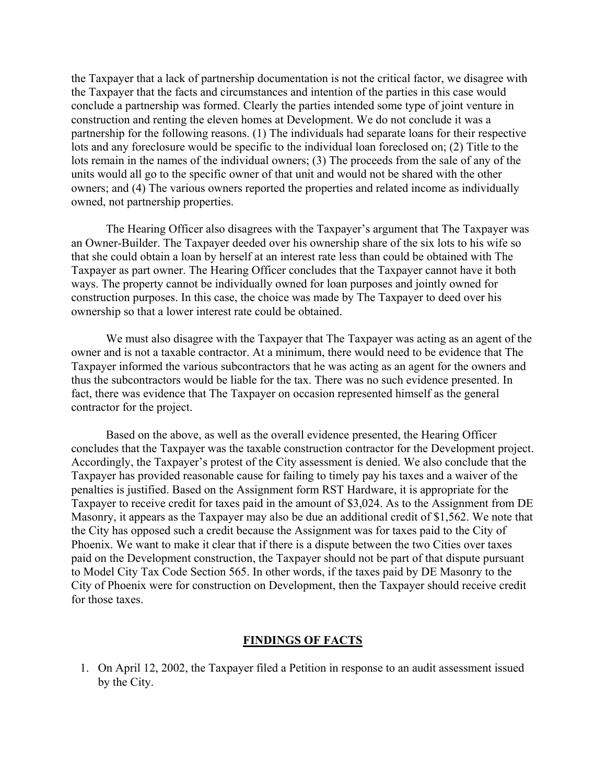the Taxpayer that a lack of partnership documentation is not the critical factor, we disagree with the Taxpayer that the facts and circumstances and intention of the parties in this case would conclude a partnership was formed. Clearly the parties intended some type of joint venture in construction and renting the eleven homes at Development. We do not conclude it was a partnership for the following reasons. (1) The individuals had separate loans for their respective lots and any foreclosure would be specific to the individual loan foreclosed on; (2) Title to the lots remain in the names of the individual owners; (3) The proceeds from the sale of any of the units would all go to the specific owner of that unit and would not be shared with the other owners; and (4) The various owners reported the properties and related income as individually owned, not partnership properties.

The Hearing Officer also disagrees with the Taxpayer's argument that The Taxpayer was an Owner-Builder. The Taxpayer deeded over his ownership share of the six lots to his wife so that she could obtain a loan by herself at an interest rate less than could be obtained with The Taxpayer as part owner. The Hearing Officer concludes that the Taxpayer cannot have it both ways. The property cannot be individually owned for loan purposes and jointly owned for construction purposes. In this case, the choice was made by The Taxpayer to deed over his ownership so that a lower interest rate could be obtained.

We must also disagree with the Taxpayer that The Taxpayer was acting as an agent of the owner and is not a taxable contractor. At a minimum, there would need to be evidence that The Taxpayer informed the various subcontractors that he was acting as an agent for the owners and thus the subcontractors would be liable for the tax. There was no such evidence presented. In fact, there was evidence that The Taxpayer on occasion represented himself as the general contractor for the project.

Based on the above, as well as the overall evidence presented, the Hearing Officer concludes that the Taxpayer was the taxable construction contractor for the Development project. Accordingly, the Taxpayer's protest of the City assessment is denied. We also conclude that the Taxpayer has provided reasonable cause for failing to timely pay his taxes and a waiver of the penalties is justified. Based on the Assignment form RST Hardware, it is appropriate for the Taxpayer to receive credit for taxes paid in the amount of \$3,024. As to the Assignment from DE Masonry, it appears as the Taxpayer may also be due an additional credit of \$1,562. We note that the City has opposed such a credit because the Assignment was for taxes paid to the City of Phoenix. We want to make it clear that if there is a dispute between the two Cities over taxes paid on the Development construction, the Taxpayer should not be part of that dispute pursuant to Model City Tax Code Section 565. In other words, if the taxes paid by DE Masonry to the City of Phoenix were for construction on Development, then the Taxpayer should receive credit for those taxes.

#### **FINDINGS OF FACTS**

1. On April 12, 2002, the Taxpayer filed a Petition in response to an audit assessment issued by the City.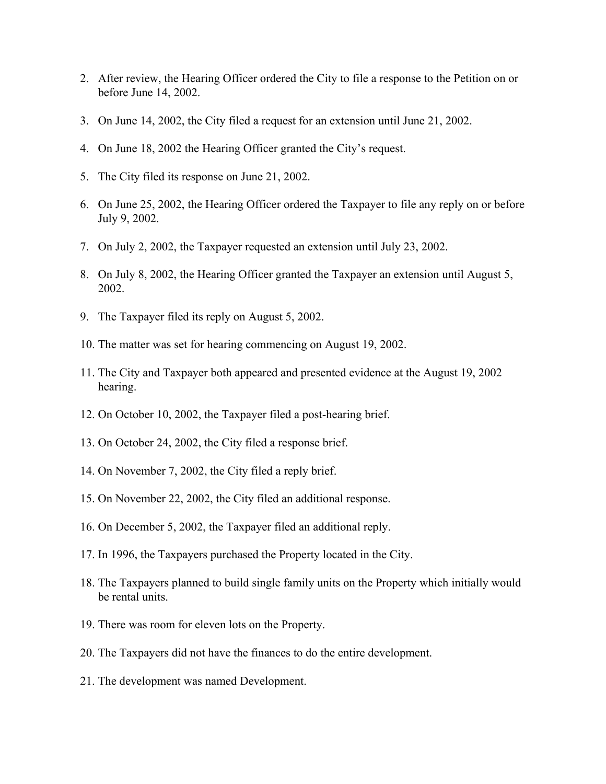- 2. After review, the Hearing Officer ordered the City to file a response to the Petition on or before June 14, 2002.
- 3. On June 14, 2002, the City filed a request for an extension until June 21, 2002.
- 4. On June 18, 2002 the Hearing Officer granted the City's request.
- 5. The City filed its response on June 21, 2002.
- 6. On June 25, 2002, the Hearing Officer ordered the Taxpayer to file any reply on or before July 9, 2002.
- 7. On July 2, 2002, the Taxpayer requested an extension until July 23, 2002.
- 8. On July 8, 2002, the Hearing Officer granted the Taxpayer an extension until August 5, 2002.
- 9. The Taxpayer filed its reply on August 5, 2002.
- 10. The matter was set for hearing commencing on August 19, 2002.
- 11. The City and Taxpayer both appeared and presented evidence at the August 19, 2002 hearing.
- 12. On October 10, 2002, the Taxpayer filed a post-hearing brief.
- 13. On October 24, 2002, the City filed a response brief.
- 14. On November 7, 2002, the City filed a reply brief.
- 15. On November 22, 2002, the City filed an additional response.
- 16. On December 5, 2002, the Taxpayer filed an additional reply.
- 17. In 1996, the Taxpayers purchased the Property located in the City.
- 18. The Taxpayers planned to build single family units on the Property which initially would be rental units.
- 19. There was room for eleven lots on the Property.
- 20. The Taxpayers did not have the finances to do the entire development.
- 21. The development was named Development.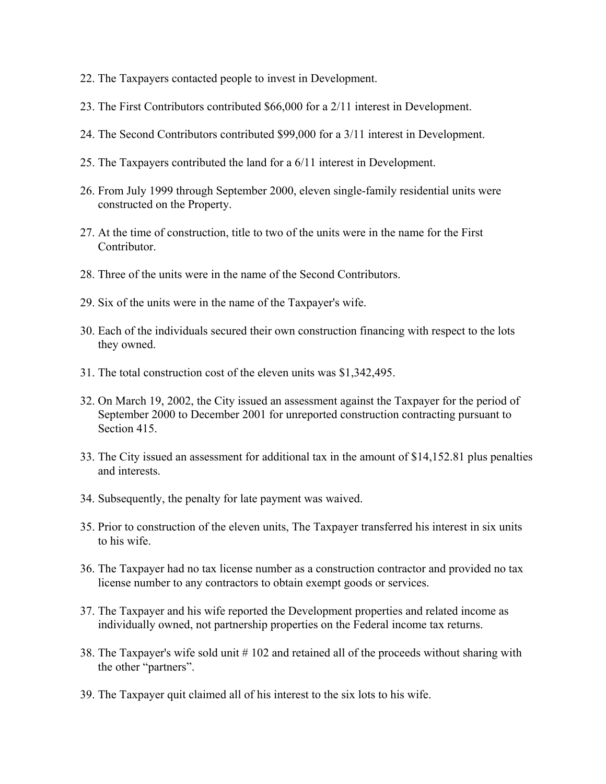- 22. The Taxpayers contacted people to invest in Development.
- 23. The First Contributors contributed \$66,000 for a 2/11 interest in Development.
- 24. The Second Contributors contributed \$99,000 for a 3/11 interest in Development.
- 25. The Taxpayers contributed the land for a 6/11 interest in Development.
- 26. From July 1999 through September 2000, eleven single-family residential units were constructed on the Property.
- 27. At the time of construction, title to two of the units were in the name for the First Contributor.
- 28. Three of the units were in the name of the Second Contributors.
- 29. Six of the units were in the name of the Taxpayer's wife.
- 30. Each of the individuals secured their own construction financing with respect to the lots they owned.
- 31. The total construction cost of the eleven units was \$1,342,495.
- 32. On March 19, 2002, the City issued an assessment against the Taxpayer for the period of September 2000 to December 2001 for unreported construction contracting pursuant to Section 415.
- 33. The City issued an assessment for additional tax in the amount of \$14,152.81 plus penalties and interests.
- 34. Subsequently, the penalty for late payment was waived.
- 35. Prior to construction of the eleven units, The Taxpayer transferred his interest in six units to his wife.
- 36. The Taxpayer had no tax license number as a construction contractor and provided no tax license number to any contractors to obtain exempt goods or services.
- 37. The Taxpayer and his wife reported the Development properties and related income as individually owned, not partnership properties on the Federal income tax returns.
- 38. The Taxpayer's wife sold unit # 102 and retained all of the proceeds without sharing with the other "partners".
- 39. The Taxpayer quit claimed all of his interest to the six lots to his wife.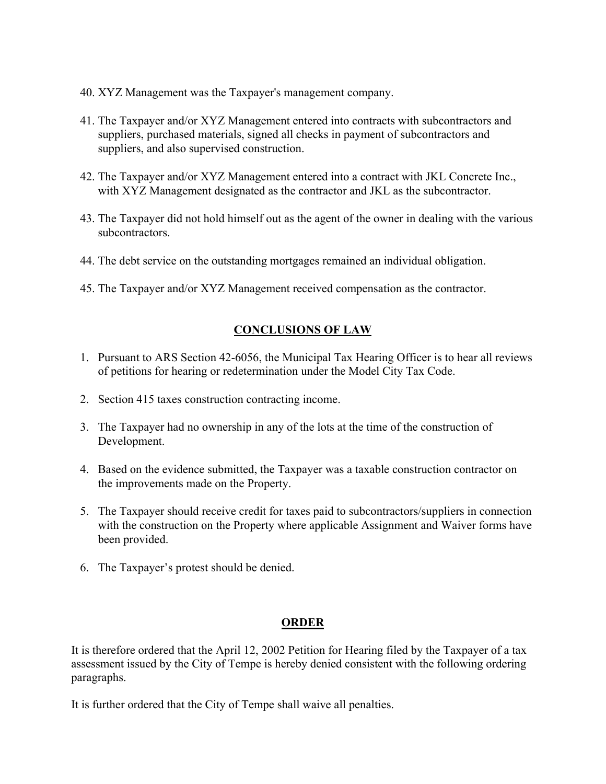- 40. XYZ Management was the Taxpayer's management company.
- 41. The Taxpayer and/or XYZ Management entered into contracts with subcontractors and suppliers, purchased materials, signed all checks in payment of subcontractors and suppliers, and also supervised construction.
- 42. The Taxpayer and/or XYZ Management entered into a contract with JKL Concrete Inc., with XYZ Management designated as the contractor and JKL as the subcontractor.
- 43. The Taxpayer did not hold himself out as the agent of the owner in dealing with the various subcontractors.
- 44. The debt service on the outstanding mortgages remained an individual obligation.
- 45. The Taxpayer and/or XYZ Management received compensation as the contractor.

# **CONCLUSIONS OF LAW**

- 1. Pursuant to ARS Section 42-6056, the Municipal Tax Hearing Officer is to hear all reviews of petitions for hearing or redetermination under the Model City Tax Code.
- 2. Section 415 taxes construction contracting income.
- 3. The Taxpayer had no ownership in any of the lots at the time of the construction of Development.
- 4. Based on the evidence submitted, the Taxpayer was a taxable construction contractor on the improvements made on the Property.
- 5. The Taxpayer should receive credit for taxes paid to subcontractors/suppliers in connection with the construction on the Property where applicable Assignment and Waiver forms have been provided.
- 6. The Taxpayer's protest should be denied.

## **ORDER**

It is therefore ordered that the April 12, 2002 Petition for Hearing filed by the Taxpayer of a tax assessment issued by the City of Tempe is hereby denied consistent with the following ordering paragraphs.

It is further ordered that the City of Tempe shall waive all penalties.